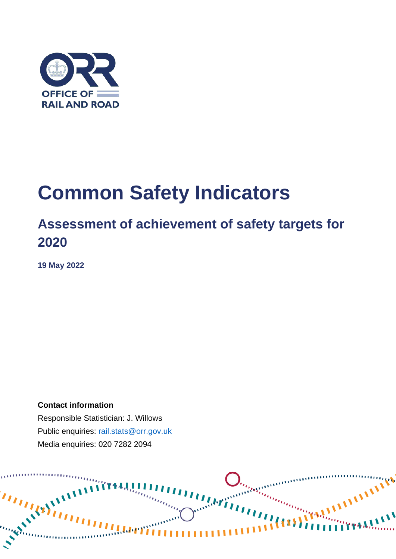

# **Common Safety Indicators**

### **Assessment of achievement of safety targets for 2020**

**19 May 2022**

**Contact information** Responsible Statistician: J. Willows Public enquiries: [rail.stats@orr.gov.uk](mailto:rail.stats@orr.gov.uk) Media enquiries: 020 7282 2094

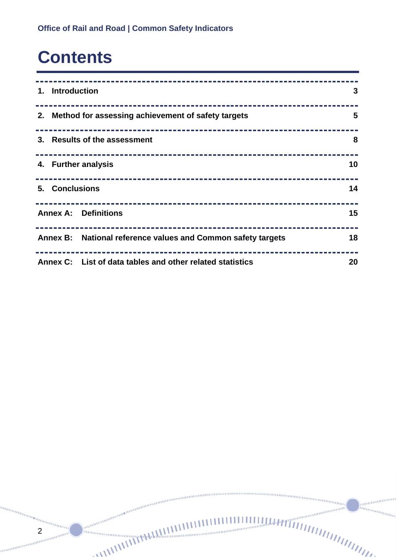## **Contents**

2

annan mm.

| 1. Introduction                                              | 3  |
|--------------------------------------------------------------|----|
| 2. Method for assessing achievement of safety targets        | 5  |
| 3. Results of the assessment                                 | 8  |
| 4. Further analysis                                          | 10 |
| 5. Conclusions                                               | 14 |
| <b>Annex A: Definitions</b>                                  | 15 |
| Annex B: National reference values and Common safety targets | 18 |
| Annex C: List of data tables and other related statistics    | 20 |

*<u>INTHERES</u>* www.

*<u>annun</u>*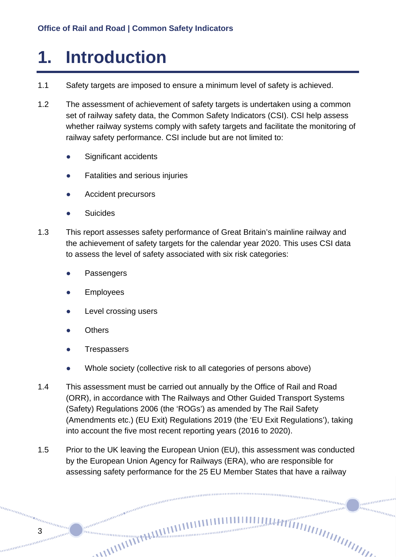## <span id="page-2-0"></span>**1. Introduction**

- 1.1 Safety targets are imposed to ensure a minimum level of safety is achieved.
- 1.2 The assessment of achievement of safety targets is undertaken using a common set of railway safety data, the Common Safety Indicators (CSI). CSI help assess whether railway systems comply with safety targets and facilitate the monitoring of railway safety performance. CSI include but are not limited to:
	- Significant accidents
	- Fatalities and serious injuries
	- Accident precursors
	- **Suicides**
- 1.3 This report assesses safety performance of Great Britain's mainline railway and the achievement of safety targets for the calendar year 2020. This uses CSI data to assess the level of safety associated with six risk categories:
	- Passengers
	- **Employees**
	- Level crossing users
	- **Others**

3

**Trespassers** 

annan

- Whole society (collective risk to all categories of persons above)
- 1.4 This assessment must be carried out annually by the Office of Rail and Road (ORR), in accordance with The Railways and Other Guided Transport Systems (Safety) Regulations 2006 (the 'ROGs') as amended by The Rail Safety (Amendments etc.) (EU Exit) Regulations 2019 (the 'EU Exit Regulations'), taking into account the five most recent reporting years (2016 to 2020).
- 1.5 Prior to the UK leaving the European Union (EU), this assessment was conducted by the European Union Agency for Railways (ERA), who are responsible for assessing safety performance for the 25 EU Member States that have a railway

nning and the community

annan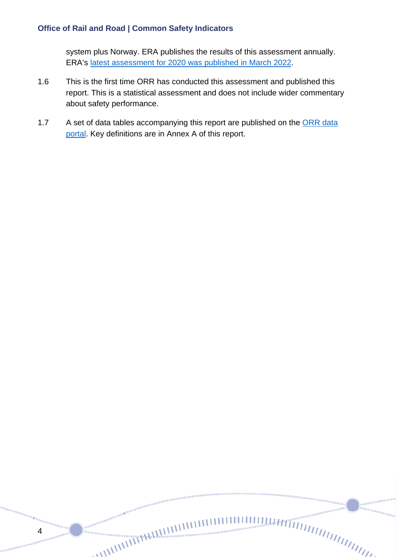system plus Norway. ERA publishes the results of this assessment annually. ERA's [latest assessment for 2020 was published in March 2022.](https://www.era.europa.eu/sites/default/files/library/docs/csm_cst_report_2022_-_public.pdf)

- 1.6 This is the first time ORR has conducted this assessment and published this report. This is a statistical assessment and does not include wider commentary about safety performance.
- 1.7 A set of data tables accompanying this report are published on the ORR data [portal.](https://dataportal.orr.gov.uk/statistics/health-and-safety/common-safety-indicators/) Key definitions are in Annex A of this report.

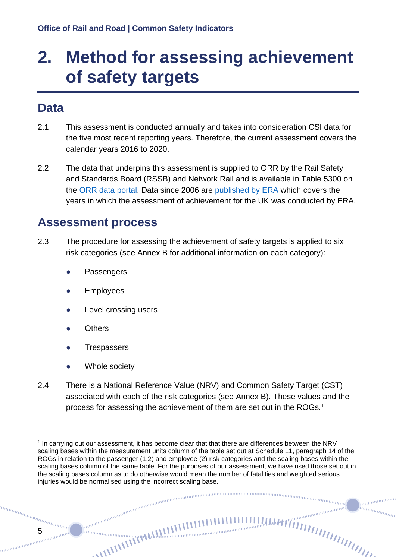## <span id="page-4-0"></span>**2. Method for assessing achievement of safety targets**

### **Data**

- 2.1 This assessment is conducted annually and takes into consideration CSI data for the five most recent reporting years. Therefore, the current assessment covers the calendar years 2016 to 2020.
- 2.2 The data that underpins this assessment is supplied to ORR by the Rail Safety and Standards Board (RSSB) and Network Rail and is available in Table 5300 on the [ORR data portal.](https://dataportal.orr.gov.uk/statistics/health-and-safety/common-safety-indicators/) Data since 2006 are [published by ERA](https://www.era.europa.eu/file/8104/download_en?token=PvM7IGMq) which covers the years in which the assessment of achievement for the UK was conducted by ERA.

### **Assessment process**

- 2.3 The procedure for assessing the achievement of safety targets is applied to six risk categories (see Annex B for additional information on each category):
	- Passengers
	- **Employees**
	- Level crossing users
	- **Others**
	- **Trespassers**
	- Whole society

anananana

2.4 There is a National Reference Value (NRV) and Common Safety Target (CST) associated with each of the risk categories (see Annex B). These values and the process for assessing the achievement of them are set out in the ROGs.<sup>1</sup>

ummmmm

annan inn<sub>inn</sub>

<span id="page-4-1"></span> $\overline{a}$ <sup>1</sup> In carrying out our assessment, it has become clear that that there are differences between the NRV scaling bases within the measurement units column of the table set out at Schedule 11, paragraph 14 of the ROGs in relation to the passenger (1.2) and employee (2) risk categories and the scaling bases within the scaling bases column of the same table. For the purposes of our assessment, we have used those set out in the scaling bases column as to do otherwise would mean the number of fatalities and weighted serious injuries would be normalised using the incorrect scaling base.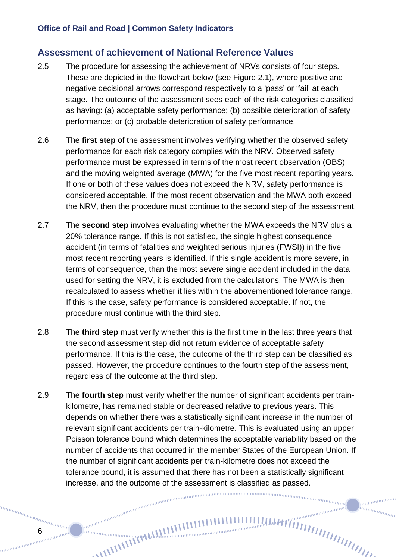#### **Assessment of achievement of National Reference Values**

- 2.5 The procedure for assessing the achievement of NRVs consists of four steps. These are depicted in the flowchart below (see Figure 2.1), where positive and negative decisional arrows correspond respectively to a 'pass' or 'fail' at each stage. The outcome of the assessment sees each of the risk categories classified as having: (a) acceptable safety performance; (b) possible deterioration of safety performance; or (c) probable deterioration of safety performance.
- 2.6 The **first step** of the assessment involves verifying whether the observed safety performance for each risk category complies with the NRV. Observed safety performance must be expressed in terms of the most recent observation (OBS) and the moving weighted average (MWA) for the five most recent reporting years. If one or both of these values does not exceed the NRV, safety performance is considered acceptable. If the most recent observation and the MWA both exceed the NRV, then the procedure must continue to the second step of the assessment.
- 2.7 The **second step** involves evaluating whether the MWA exceeds the NRV plus a 20% tolerance range. If this is not satisfied, the single highest consequence accident (in terms of fatalities and weighted serious injuries (FWSI)) in the five most recent reporting years is identified. If this single accident is more severe, in terms of consequence, than the most severe single accident included in the data used for setting the NRV, it is excluded from the calculations. The MWA is then recalculated to assess whether it lies within the abovementioned tolerance range. If this is the case, safety performance is considered acceptable. If not, the procedure must continue with the third step.
- 2.8 The **third step** must verify whether this is the first time in the last three years that the second assessment step did not return evidence of acceptable safety performance. If this is the case, the outcome of the third step can be classified as passed. However, the procedure continues to the fourth step of the assessment, regardless of the outcome at the third step.
- 2.9 The **fourth step** must verify whether the number of significant accidents per trainkilometre, has remained stable or decreased relative to previous years. This depends on whether there was a statistically significant increase in the number of relevant significant accidents per train-kilometre. This is evaluated using an upper Poisson tolerance bound which determines the acceptable variability based on the number of accidents that occurred in the member States of the European Union. If the number of significant accidents per train-kilometre does not exceed the tolerance bound, it is assumed that there has not been a statistically significant increase, and the outcome of the assessment is classified as passed.

ammanan in<sub>nnmmm</sub>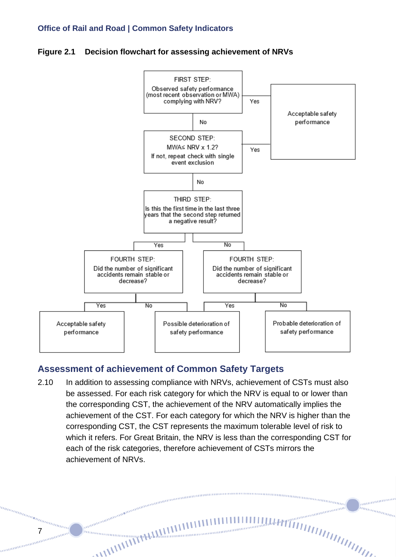**Figure 2.1 Decision flowchart for assessing achievement of NRVs** 



#### **Assessment of achievement of Common Safety Targets**

2.10 In addition to assessing compliance with NRVs, achievement of CSTs must also be assessed. For each risk category for which the NRV is equal to or lower than the corresponding CST, the achievement of the NRV automatically implies the achievement of the CST. For each category for which the NRV is higher than the corresponding CST, the CST represents the maximum tolerable level of risk to which it refers. For Great Britain, the NRV is less than the corresponding CST for each of the risk categories, therefore achievement of CSTs mirrors the achievement of NRVs.

anananana in<sub>nnmmm</sub>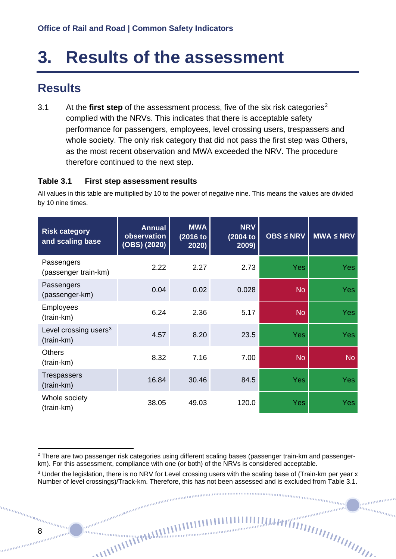## <span id="page-7-0"></span>**3. Results of the assessment**

### **Results**

3.1 At the **first step** of the assessment process, five of the six risk categories[2](#page-7-1) complied with the NRVs. This indicates that there is acceptable safety performance for passengers, employees, level crossing users, trespassers and whole society. The only risk category that did not pass the first step was Others, as the most recent observation and MWA exceeded the NRV. The procedure therefore continued to the next step.

#### **Table 3.1 First step assessment results**

All values in this table are multiplied by 10 to the power of negative nine. This means the values are divided by 10 nine times.

| <b>Risk category</b><br>and scaling base        | <b>Annual</b><br>observation<br>(OBS) (2020) | <b>MWA</b><br>(2016 to<br>2020) | <b>NRV</b><br>(2004 to<br>2009) | <b>OBS ≤ NRV</b> | $MWA \leq NRV$ |
|-------------------------------------------------|----------------------------------------------|---------------------------------|---------------------------------|------------------|----------------|
| Passengers<br>(passenger train-km)              | 2.22                                         | 2.27                            | 2.73                            | <b>Yes</b>       | Yes            |
| Passengers<br>(passenger-km)                    | 0.04                                         | 0.02                            | 0.028                           | <b>No</b>        | Yes:           |
| <b>Employees</b><br>(train-km)                  | 6.24                                         | 2.36                            | 5.17                            | <b>No</b>        | Yes            |
| Level crossing users <sup>3</sup><br>(train-km) | 4.57                                         | 8.20                            | 23.5                            | <b>Yes</b>       | <b>Yes</b>     |
| <b>Others</b><br>(train-km)                     | 8.32                                         | 7.16                            | 7.00                            | <b>No</b>        | <b>No</b>      |
| <b>Trespassers</b><br>(train-km)                | 16.84                                        | 30.46                           | 84.5                            | <b>Yes</b>       | <b>Yes</b>     |
| Whole society<br>(train-km)                     | 38.05                                        | 49.03                           | 120.0                           | <b>Yes</b>       | <b>Yes</b>     |

000000000000000000000000

<sup>ntummummi</sub></sup>

annin

anaaaaaa

<span id="page-7-1"></span><sup>&</sup>lt;sup>2</sup> There are two passenger risk categories using different scaling bases (passenger train-km and passengerkm). For this assessment, compliance with one (or both) of the NRVs is considered acceptable.

<span id="page-7-2"></span><sup>&</sup>lt;sup>3</sup> Under the legislation, there is no NRV for Level crossing users with the scaling base of (Train-km per year x Number of level crossings)/Track-km. Therefore, this has not been assessed and is excluded from Table 3.1.<br> $\frac{1}{2}$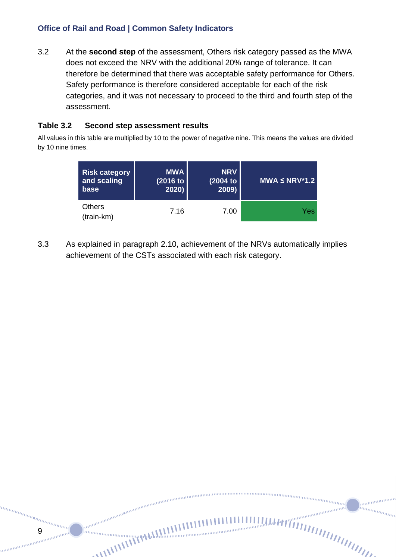3.2 At the **second step** of the assessment, Others risk category passed as the MWA does not exceed the NRV with the additional 20% range of tolerance. It can therefore be determined that there was acceptable safety performance for Others. Safety performance is therefore considered acceptable for each of the risk categories, and it was not necessary to proceed to the third and fourth step of the assessment.

#### **Table 3.2 Second step assessment results**

9

anana

All values in this table are multiplied by 10 to the power of negative nine. This means the values are divided by 10 nine times.

| <b>Risk category</b>        | <b>MWA</b> | <b>NRV</b> | $MWA \le NRV^*1.2$ |
|-----------------------------|------------|------------|--------------------|
| and scaling                 | (2016 to   | $(2004$ to |                    |
| base                        | 2020       | 2009       |                    |
| <b>Others</b><br>(train-km) | 7.16       | 7.00       | Yes.               |

3.3 As explained in paragraph 2.10, achievement of the NRVs automatically implies achievement of the CSTs associated with each risk category.

nunununung

anning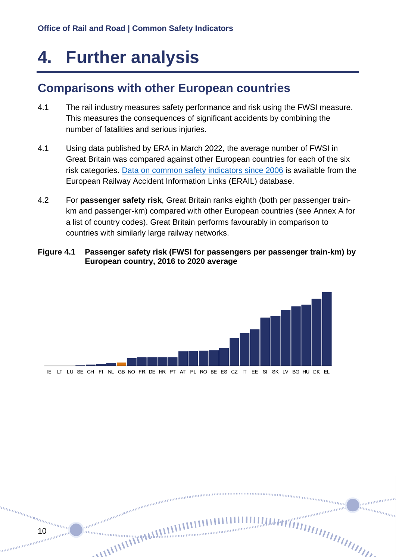## <span id="page-9-0"></span>**4. Further analysis**

10

### **Comparisons with other European countries**

- 4.1 The rail industry measures safety performance and risk using the FWSI measure. This measures the consequences of significant accidents by combining the number of fatalities and serious injuries.
- 4.1 Using data published by ERA in March 2022, the average number of FWSI in Great Britain was compared against other European countries for each of the six risk categories. [Data on common safety indicators since 2006](https://www.era.europa.eu/file/8104/download_en?token=PvM7IGMq) is available from the European Railway Accident Information Links (ERAIL) database.
- 4.2 For **passenger safety risk**, Great Britain ranks eighth (both per passenger trainkm and passenger-km) compared with other European countries (see Annex A for a list of country codes). Great Britain performs favourably in comparison to countries with similarly large railway networks.
- **Figure 4.1 Passenger safety risk (FWSI for passengers per passenger train-km) by European country, 2016 to 2020 average**

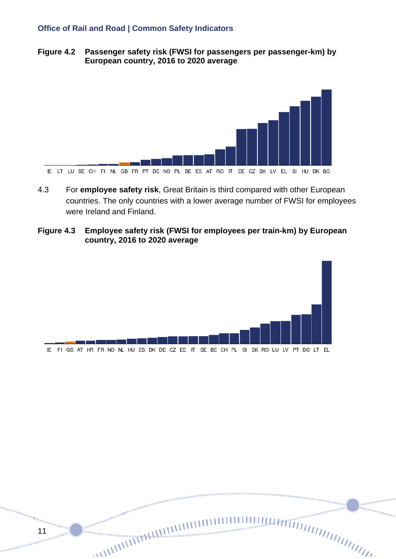**Figure 4.2 Passenger safety risk (FWSI for passengers per passenger-km) by European country, 2016 to 2020 average**



- 4.3 For **employee safety risk**, Great Britain is third compared with other European countries. The only countries with a lower average number of FWSI for employees were Ireland and Finland.
- **Figure 4.3 Employee safety risk (FWSI for employees per train-km) by European country, 2016 to 2020 average**



........... im<sub>mm</sub>

11

mm.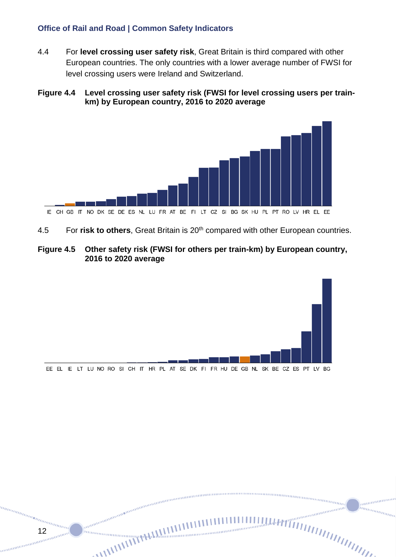4.4 For **level crossing user safety risk**, Great Britain is third compared with other European countries. The only countries with a lower average number of FWSI for level crossing users were Ireland and Switzerland.

#### **Figure 4.4 Level crossing user safety risk (FWSI for level crossing users per trainkm) by European country, 2016 to 2020 average**



4.5 For **risk to others**, Great Britain is 20th compared with other European countries.

#### **Figure 4.5 Other safety risk (FWSI for others per train-km) by European country, 2016 to 2020 average**



........... im<sub>mm</sub>

12

mm.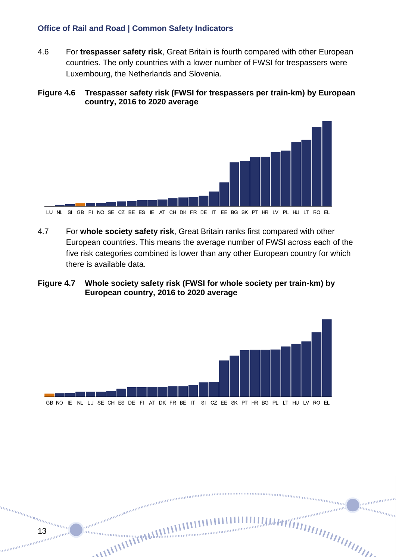4.6 For **trespasser safety risk**, Great Britain is fourth compared with other European countries. The only countries with a lower number of FWSI for trespassers were Luxembourg, the Netherlands and Slovenia.

#### **Figure 4.6 Trespasser safety risk (FWSI for trespassers per train-km) by European country, 2016 to 2020 average**



4.7 For **whole society safety risk**, Great Britain ranks first compared with other European countries. This means the average number of FWSI across each of the five risk categories combined is lower than any other European country for which there is available data.

#### **Figure 4.7 Whole society safety risk (FWSI for whole society per train-km) by European country, 2016 to 2020 average**



anananan in<sub>nnmmm</sub>

<sup>tan</sup>an<sub>ananana</sub>nananananan<br>13<br><sub>13 ma</sub>mananananananananan

mm.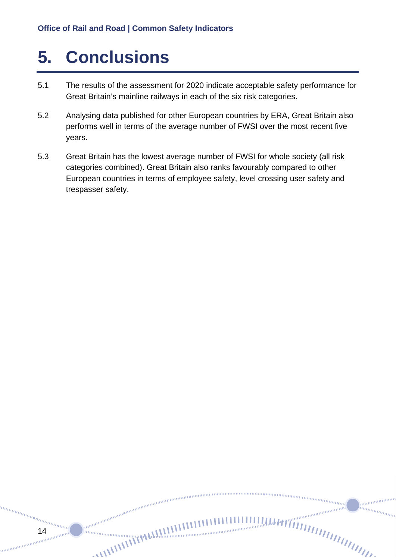## <span id="page-13-0"></span>**5. Conclusions**

14

annan

- 5.1 The results of the assessment for 2020 indicate acceptable safety performance for Great Britain's mainline railways in each of the six risk categories.
- 5.2 Analysing data published for other European countries by ERA, Great Britain also performs well in terms of the average number of FWSI over the most recent five years.
- 5.3 Great Britain has the lowest average number of FWSI for whole society (all risk categories combined). Great Britain also ranks favourably compared to other European countries in terms of employee safety, level crossing user safety and trespasser safety.

 $m n_{m n m n m}$ 

mmm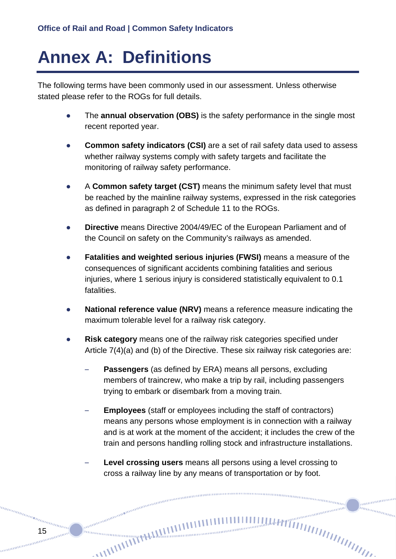## <span id="page-14-0"></span>**Annex A: Definitions**

The following terms have been commonly used in our assessment. Unless otherwise stated please refer to the ROGs for full details.

- The **annual observation (OBS)** is the safety performance in the single most recent reported year.
- **Common safety indicators (CSI)** are a set of rail safety data used to assess whether railway systems comply with safety targets and facilitate the monitoring of railway safety performance.
- A **Common safety target (CST)** means the minimum safety level that must be reached by the mainline railway systems, expressed in the risk categories as defined in paragraph 2 of Schedule 11 to the ROGs.
- **Directive** means Directive 2004/49/EC of the European Parliament and of the Council on safety on the Community's railways as amended.
- **Fatalities and weighted serious injuries (FWSI)** means a measure of the consequences of significant accidents combining fatalities and serious injuries, where 1 serious injury is considered statistically equivalent to 0.1 fatalities.
- **National reference value (NRV)** means a reference measure indicating the maximum tolerable level for a railway risk category.
- **Risk category** means one of the railway risk categories specified under Article 7(4)(a) and (b) of the Directive. These six railway risk categories are:
	- **Passengers** (as defined by ERA) means all persons, excluding members of traincrew, who make a trip by rail, including passengers trying to embark or disembark from a moving train.
	- **Employees** (staff or employees including the staff of contractors) means any persons whose employment is in connection with a railway and is at work at the moment of the accident; it includes the crew of the train and persons handling rolling stock and infrastructure installations.

nunnung<br><sup>nunnung</sup>

........... inn<sub>innin</sub>

– **Level crossing users** means all persons using a level crossing to cross a railway line by any means of transportation or by foot.

anana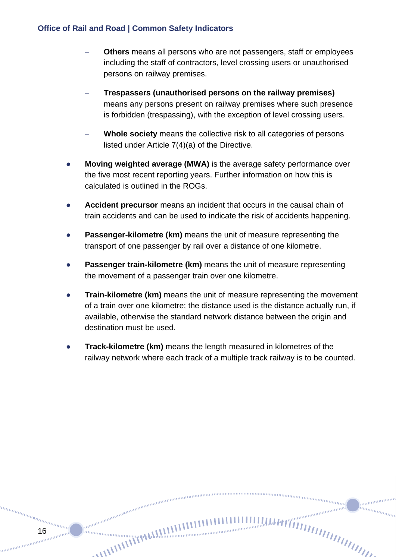16

anana

- **Others** means all persons who are not passengers, staff or employees including the staff of contractors, level crossing users or unauthorised persons on railway premises.
- **Trespassers (unauthorised persons on the railway premises)**  means any persons present on railway premises where such presence is forbidden (trespassing), with the exception of level crossing users.
- **Whole society** means the collective risk to all categories of persons listed under Article 7(4)(a) of the Directive.
- **Moving weighted average (MWA)** is the average safety performance over the five most recent reporting years. Further information on how this is calculated is outlined in the ROGs.
- Accident precursor means an incident that occurs in the causal chain of train accidents and can be used to indicate the risk of accidents happening.
- **Passenger-kilometre (km)** means the unit of measure representing the transport of one passenger by rail over a distance of one kilometre.
- **Passenger train-kilometre (km)** means the unit of measure representing the movement of a passenger train over one kilometre.
- **Train-kilometre (km)** means the unit of measure representing the movement of a train over one kilometre; the distance used is the distance actually run, if available, otherwise the standard network distance between the origin and destination must be used.
- **Track-kilometre (km)** means the length measured in kilometres of the railway network where each track of a multiple track railway is to be counted.

nummummu

annin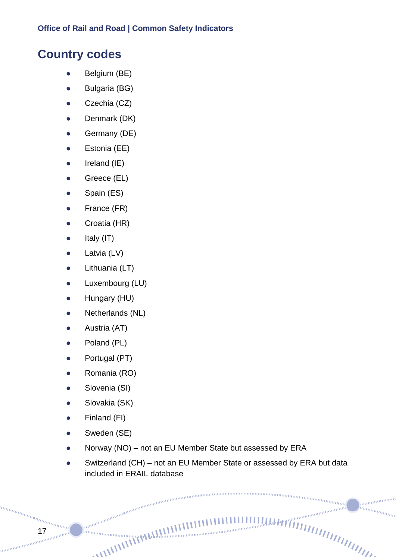### **Country codes**

- Belgium (BE)
- Bulgaria (BG)
- Czechia (CZ)
- Denmark (DK)
- Germany (DE)
- Estonia (EE)
- Ireland (IE)
- Greece (EL)
- Spain (ES)
- France (FR)
- Croatia (HR)
- Italy (IT)
- Latvia (LV)
- Lithuania (LT)
- Luxembourg (LU)
- Hungary (HU)
- Netherlands (NL)
- Austria (AT)
- Poland (PL)
- Portugal (PT)
- Romania (RO)
- Slovenia (SI)
- Slovakia (SK)
- Finland (FI)

17

- Sweden (SE)
- Norway (NO) not an EU Member State but assessed by ERA

• Switzerland (CH) – not an EU Member State or assessed by ERA but data included in ERAIL database

munimum innamman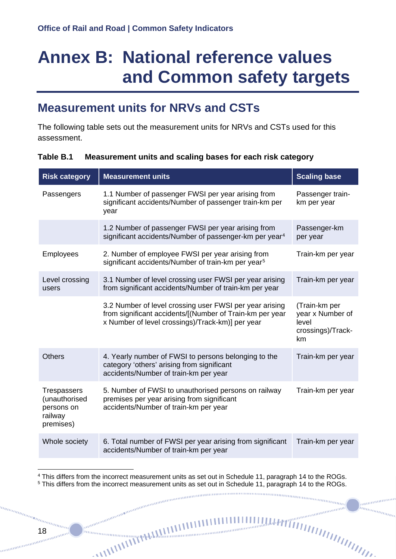## <span id="page-17-0"></span>**Annex B: National reference values and Common safety targets**

### **Measurement units for NRVs and CSTs**

The following table sets out the measurement units for NRVs and CSTs used for this assessment.

#### **Table B.1 Measurement units and scaling bases for each risk category**

| <b>Risk category</b>                                                      | <b>Measurement units</b>                                                                                                                                                | <b>Scaling base</b>                                                   |
|---------------------------------------------------------------------------|-------------------------------------------------------------------------------------------------------------------------------------------------------------------------|-----------------------------------------------------------------------|
| Passengers                                                                | 1.1 Number of passenger FWSI per year arising from<br>significant accidents/Number of passenger train-km per<br>year                                                    | Passenger train-<br>km per year                                       |
|                                                                           | 1.2 Number of passenger FWSI per year arising from<br>significant accidents/Number of passenger-km per year <sup>4</sup>                                                | Passenger-km<br>per year                                              |
| Employees                                                                 | 2. Number of employee FWSI per year arising from<br>significant accidents/Number of train-km per year <sup>5</sup>                                                      | Train-km per year                                                     |
| Level crossing<br>users                                                   | 3.1 Number of level crossing user FWSI per year arising<br>from significant accidents/Number of train-km per year                                                       | Train-km per year                                                     |
|                                                                           | 3.2 Number of level crossing user FWSI per year arising<br>from significant accidents/[(Number of Train-km per year<br>x Number of level crossings)/Track-km)] per year | (Train-km per<br>year x Number of<br>level<br>crossings)/Track-<br>km |
| <b>Others</b>                                                             | 4. Yearly number of FWSI to persons belonging to the<br>category 'others' arising from significant<br>accidents/Number of train-km per year                             | Train-km per year                                                     |
| <b>Trespassers</b><br>(unauthorised<br>persons on<br>railway<br>premises) | 5. Number of FWSI to unauthorised persons on railway<br>premises per year arising from significant<br>accidents/Number of train-km per year                             | Train-km per year                                                     |
| Whole society                                                             | 6. Total number of FWSI per year arising from significant<br>accidents/Number of train-km per year                                                                      | Train-km per year                                                     |
|                                                                           |                                                                                                                                                                         |                                                                       |

<span id="page-17-1"></span><sup>4</sup> This differs from the incorrect measurement units as set out in Schedule 11, paragraph 14 to the ROGs.

<span id="page-17-2"></span> $5$  This differs from the incorrect measurement units as set out in Schedule 11, paragraph 14 to the ROGs.<br> $\frac{1}{100}$ 

unnan (

anana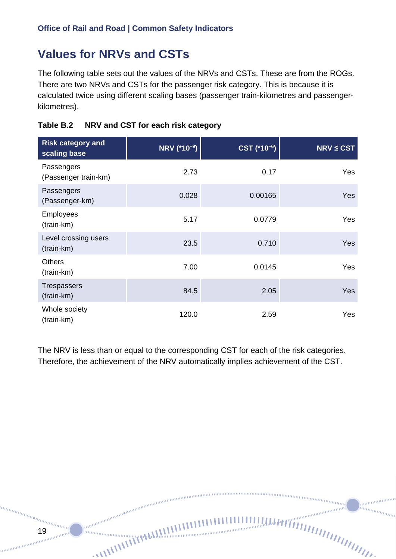### **Values for NRVs and CSTs**

19

annan mm.

The following table sets out the values of the NRVs and CSTs. These are from the ROGs. There are two NRVs and CSTs for the passenger risk category. This is because it is calculated twice using different scaling bases (passenger train-kilometres and passengerkilometres).

|  | Table B.2 NRV and CST for each risk category |
|--|----------------------------------------------|
|--|----------------------------------------------|

| <b>Risk category and</b><br>scaling base | NRV (*10 <sup>-9</sup> ) | CST (*10 <sup>-6</sup> ) | $NRV \leq CST$ |
|------------------------------------------|--------------------------|--------------------------|----------------|
| Passengers<br>(Passenger train-km)       | 2.73                     | 0.17                     | <b>Yes</b>     |
| Passengers<br>(Passenger-km)             | 0.028                    | 0.00165                  | <b>Yes</b>     |
| <b>Employees</b><br>(train-km)           | 5.17                     | 0.0779                   | <b>Yes</b>     |
| Level crossing users<br>(train-km)       | 23.5                     | 0.710                    | <b>Yes</b>     |
| <b>Others</b><br>(train-km)              | 7.00                     | 0.0145                   | Yes            |
| Trespassers<br>(train-km)                | 84.5                     | 2.05                     | Yes            |
| Whole society<br>(train-km)              | 120.0                    | 2.59                     | Yes            |

The NRV is less than or equal to the corresponding CST for each of the risk categories. Therefore, the achievement of the NRV automatically implies achievement of the CST.

........... im<sub>mm</sub>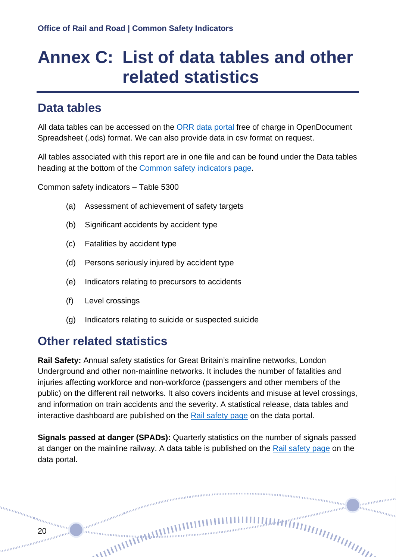## <span id="page-19-0"></span>**Annex C: List of data tables and other related statistics**

### **Data tables**

All data tables can be accessed on the [ORR data portal](https://dataportal.orr.gov.uk/) free of charge in OpenDocument Spreadsheet (.ods) format. We can also provide data in csv format on request.

All tables associated with this report are in one file and can be found under the Data tables heading at the bottom of the [Common safety indicators page.](https://dataportal.orr.gov.uk/statistics/health-and-safety/common-safety-indicators/)

Common safety indicators – Table 5300

- (a) Assessment of achievement of safety targets
- (b) Significant accidents by accident type
- (c) Fatalities by accident type
- (d) Persons seriously injured by accident type
- (e) Indicators relating to precursors to accidents
- (f) Level crossings
- (g) Indicators relating to suicide or suspected suicide

### **Other related statistics**

annan

nommunimumining and an annumumining and an annumumining and an annumumining and an annumumining and an annumum<br>Tanàna amin'ny faritr'i America ao amin'ny faritr'i Antonina ao amin'ny faritr'i Antonina amin'ny faritr'i Amer

**Rail Safety:** Annual safety statistics for Great Britain's mainline networks, London Underground and other non-mainline networks. It includes the number of fatalities and injuries affecting workforce and non-workforce (passengers and other members of the public) on the different rail networks. It also covers incidents and misuse at level crossings, and information on train accidents and the severity. A statistical release, data tables and interactive dashboard are published on the [Rail safety page](https://dataportal.orr.gov.uk/statistics/health-and-safety/rail-safety/) on the data portal.

**Signals passed at danger (SPADs):** Quarterly statistics on the number of signals passed at danger on the mainline railway. A data table is published on the [Rail safety page](https://dataportal.orr.gov.uk/statistics/health-and-safety/rail-safety/) on the data portal.

nummunum (

anna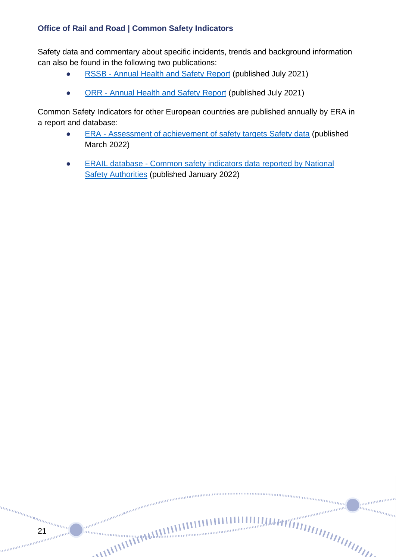21

manaman

Safety data and commentary about specific incidents, trends and background information can also be found in the following two publications:

- [RSSB Annual Health and Safety Report](https://www.rssb.co.uk/safety-and-health/risk-and-safety-intelligence/annual-health-and-safety-report) (published July 2021)
- [ORR Annual Health and Safety Report](https://www.orr.gov.uk/monitoring-regulation/rail/promoting-health-safety/annual-health-safety-report) (published July 2021)

annon anno anno anno anno anno anno

........... innannan

Common Safety Indicators for other European countries are published annually by ERA in a report and database:

- [ERA Assessment of achievement of safety targets Safety data](https://www.era.europa.eu/sites/default/files/library/docs/csm_cst_report_2022_-_public.pdf) (published March 2022)
- [ERAIL database Common safety indicators data reported by National](https://www.era.europa.eu/file/8104/download_en?token=PvM7IGMq)  [Safety Authorities](https://www.era.europa.eu/file/8104/download_en?token=PvM7IGMq) (published January 2022)